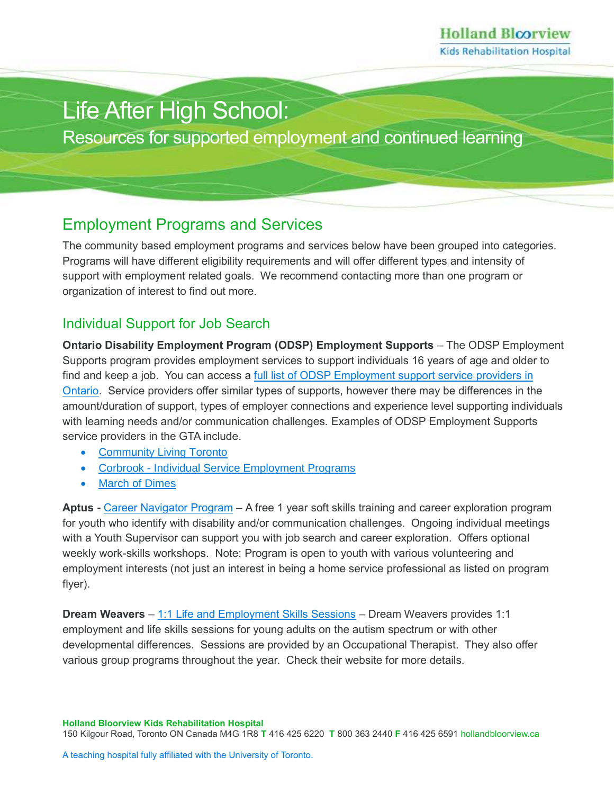# Life After High School:

Resources for supported employment and continued learning

# Employment Programs and Services

The community based employment programs and services below have been grouped into categories. Programs will have different eligibility requirements and will offer different types and intensity of support with employment related goals. We recommend contacting more than one program or organization of interest to find out more.

#### Individual Support for Job Search

**Ontario Disability Employment Program (ODSP) Employment Supports** – The ODSP Employment Supports program provides employment services to support individuals 16 years of age and older to find and keep a job. You can access a full list of ODSP Employment support service providers in [Ontario.](https://www.mcss.gov.on.ca/en/mcss/programs/social/odsp/employment_support/EmploymentServiceProviders.aspx) Service providers offer similar types of supports, however there may be differences in the amount/duration of support, types of employer connections and experience level supporting individuals with learning needs and/or communication challenges. Examples of ODSP Employment Supports service providers in the GTA include.

- [Community Living Toronto](https://cltoronto.ca/supports-and-services/job-placement-services/)
- Corbrook [Individual Service Employment Programs](https://corbrook.com/learning-opportunities/employment-programs/)
- [March of Dimes](https://www.modcemploymentservices.ca/about-us/contact-us/)

**Aptus -** [Career Navigator Program](file:///C:/Users/dalessandrod/Downloads/Aptus%20Career%20Navigator%20Infosheet%20&%20Application%20(5).pdf) – A free 1 year soft skills training and career exploration program for youth who identify with disability and/or communication challenges. Ongoing individual meetings with a Youth Supervisor can support you with job search and career exploration. Offers optional weekly work-skills workshops. Note: Program is open to youth with various volunteering and employment interests (not just an interest in being a home service professional as listed on program flyer).

**Dream Weavers** – [1:1 Life and Employment Skills Sessions](https://www.dreamweaverscollective.com/11-life--employment-skills-sessions.html) – Dream Weavers provides 1:1 employment and life skills sessions for young adults on the autism spectrum or with other developmental differences. Sessions are provided by an Occupational Therapist. They also offer various group programs throughout the year. Check their website for more details.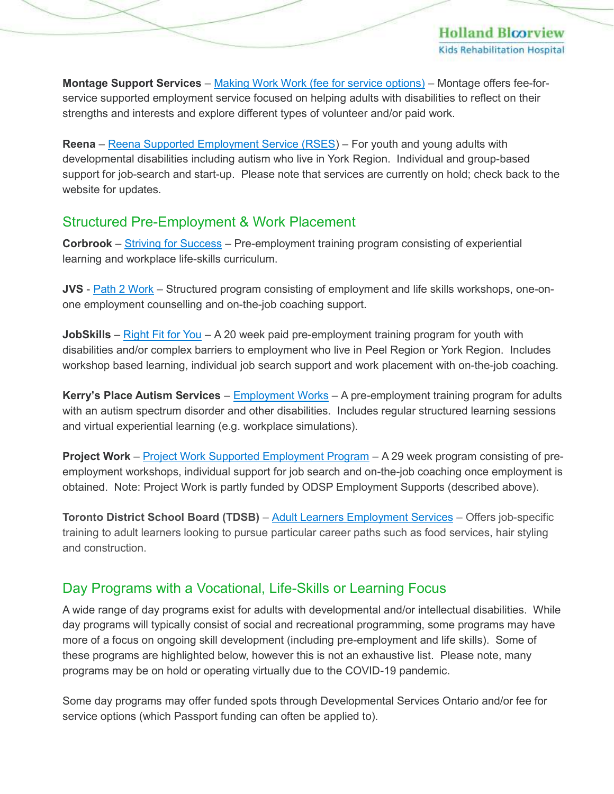**Holland Bloorview Kids Rehabilitation Hospital** 

**Montage Support Services** – [Making Work Work \(fee for service options\)](https://montagesupport.ca/our-services/making-work-work/discovery/) – Montage offers fee-forservice supported employment service focused on helping adults with disabilities to reflect on their strengths and interests and explore different types of volunteer and/or paid work.

**Reena** – [Reena Supported Employment Service \(RSES\)](https://www.reena.org/programs-and-services/supported-employment/supported-employment-programs/) – For youth and young adults with developmental disabilities including autism who live in York Region. Individual and group-based support for job-search and start-up. Please note that services are currently on hold; check back to the website for updates.

#### Structured Pre-Employment & Work Placement

**Corbrook** – [Striving for Success](https://corbrook.com/pre-employment-training/) – Pre-employment training program consisting of experiential learning and workplace life-skills curriculum.

**JVS** - [Path 2 Work](https://www.jvstoronto.org/find-a-job/disability-employment-services/) – Structured program consisting of employment and life skills workshops, one-onone employment counselling and on-the-job coaching support.

**JobSkills** – [Right Fit for You](https://www.jobskills.org/right-fit-for-you/) – A 20 week paid pre-employment training program for youth with disabilities and/or complex barriers to employment who live in Peel Region or York Region. Includes workshop based learning, individual job search support and work placement with on-the-job coaching.

**Kerry's Place Autism Services** – [Employment](https://www.kerrysplace.org/support-and-services/services/employmentworks-canada/) Works – A pre-employment training program for adults with an autism spectrum disorder and other disabilities. Includes regular structured learning sessions and virtual experiential learning (e.g. workplace simulations).

**Project Work** – [Project Work Supported Employment Program](https://projectwork.ca/employment-programs/) – A 29 week program consisting of preemployment workshops, individual support for job search and on-the-job coaching once employment is obtained. Note: Project Work is partly funded by ODSP Employment Supports (described above).

**Toronto District School Board (TDSB)** – [Adult Learners Employment Services](https://www.tdsb.on.ca/Adult-Learners/Employment-Services) – Offers job-specific training to adult learners looking to pursue particular career paths such as food services, hair styling and construction.

# Day Programs with a Vocational, Life-Skills or Learning Focus

A wide range of day programs exist for adults with developmental and/or intellectual disabilities. While day programs will typically consist of social and recreational programming, some programs may have more of a focus on ongoing skill development (including pre-employment and life skills). Some of these programs are highlighted below, however this is not an exhaustive list. Please note, many programs may be on hold or operating virtually due to the COVID-19 pandemic.

Some day programs may offer funded spots through Developmental Services Ontario and/or fee for service options (which Passport funding can often be applied to).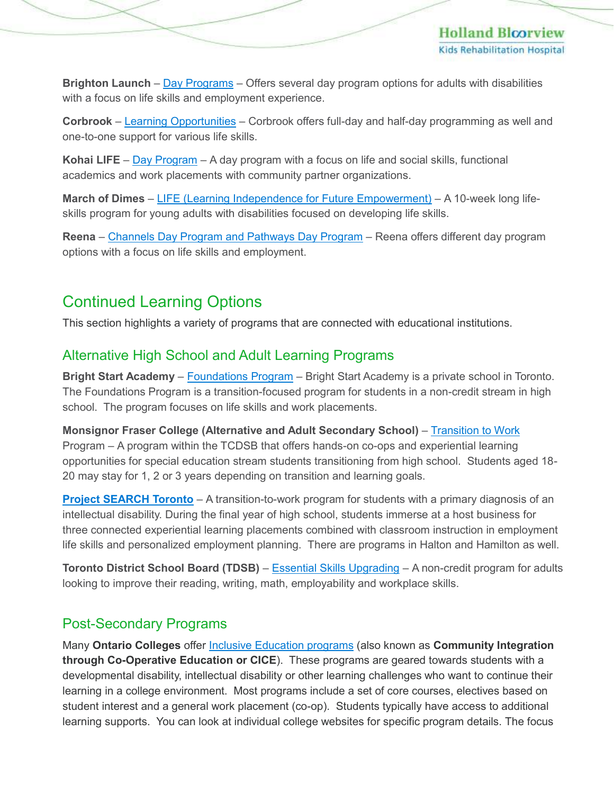**Brighton Launch** – [Day Programs](https://brightonlaunch.ca/program/program-options/) – Offers several day program options for adults with disabilities with a focus on life skills and employment experience.

**Corbrook** – [Learning Opportunities](https://corbrook.com/learning-opportunities/) – Corbrook offers full-day and half-day programming as well and one-to-one support for various life skills.

Kohai LIFE – **[Day Program](https://www.kohai.ca/day-programme)** – A day program with a focus on life and social skills, functional academics and work placements with community partner organizations.

**March of Dimes** – [LIFE \(Learning Independence for Future Empowerment\)](https://www.marchofdimes.ca/en-ca/programs/ddlsp/life) – A 10-week long lifeskills program for young adults with disabilities focused on developing life skills.

**Reena** – [Channels Day Program and Pathways Day Program](https://www.reena.org/programs-and-services/supported-employment/supported-employment-programs/) – Reena offers different day program options with a focus on life skills and employment.

# Continued Learning Options

This section highlights a variety of programs that are connected with educational institutions.

# Alternative High School and Adult Learning Programs

**Bright Start Academy** – [Foundations Program](https://brightstartacademy.info/the-foundations-program/) – Bright Start Academy is a private school in Toronto. The Foundations Program is a transition-focused program for students in a non-credit stream in high school. The program focuses on life skills and work placements.

**Monsignor Fraser College (Alternative and Adult Secondary School)** – [Transition to Work](https://www.tcdsb.org/schools/msgrfrasercollege/T2W/Pages/default.aspx) Program – A program within the TCDSB that offers hands-on co-ops and experiential learning opportunities for special education stream students transitioning from high school. Students aged 18- 20 may stay for 1, 2 or 3 years depending on transition and learning goals.

**[Project SEARCH](http://www.projectsearchtoronto.ca/) Toronto** – A transition-to-work program for students with a primary diagnosis of an intellectual disability. During the final year of high school, students immerse at a host business for three connected experiential learning placements combined with classroom instruction in employment life skills and personalized employment planning. There are programs in Halton and Hamilton as well.

**Toronto District School Board (TDSB)** – [Essential Skills Upgrading](https://www.tdsb.on.ca/Adult-Learners/Learn-English/Essential-Skills-Upgrading) – A non-credit program for adults looking to improve their reading, writing, math, employability and workplace skills.

# Post-Secondary Programs

Many **Ontario Colleges** offer [Inclusive Education programs](https://www.ontariocolleges.ca/en/programs?q=CICE&page=0) (also known as **Community Integration through Co-Operative Education or CICE**). These programs are geared towards students with a developmental disability, intellectual disability or other learning challenges who want to continue their learning in a college environment. Most programs include a set of core courses, electives based on student interest and a general work placement (co-op). Students typically have access to additional learning supports. You can look at individual college websites for specific program details. The focus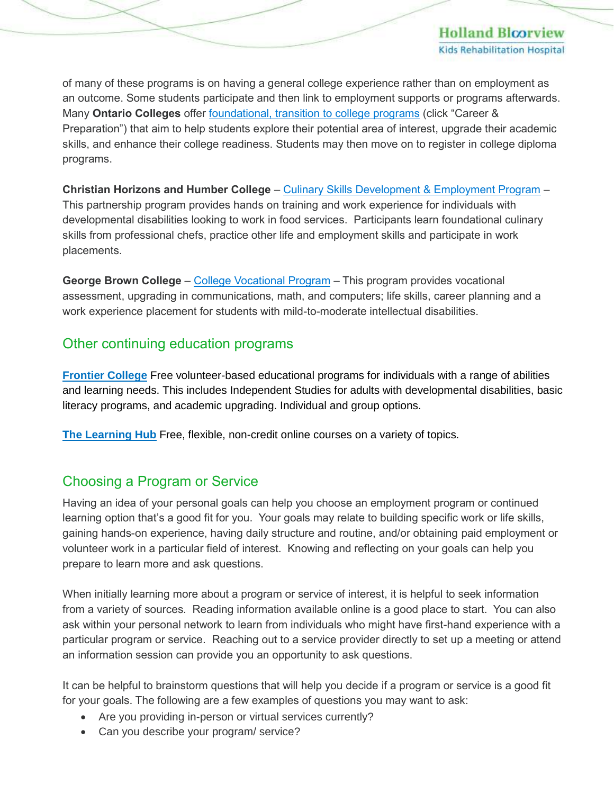of many of these programs is on having a general college experience rather than on employment as an outcome. Some students participate and then link to employment supports or programs afterwards. Many **Ontario Colleges** offer [foundational, transition to college programs](https://www.ontariocolleges.ca/en/programs) (click "Career & Preparation") that aim to help students explore their potential area of interest, upgrade their academic skills, and enhance their college readiness. Students may then move on to register in college diploma programs.

**Christian Horizons and Humber College** – [Culinary Skills Development & Employment Program](https://ca.apm.activecommunities.com/mycommunityhub/Activity_Search/culinary-skills-development-employment-program-2020/9286) – This partnership program provides hands on training and work experience for individuals with developmental disabilities looking to work in food services. Participants learn foundational culinary skills from professional chefs, practice other life and employment skills and participate in work placements.

George Brown College – [College Vocational Program](https://www.georgebrown.ca/programs/college-vocational-program-a101) – This program provides vocational assessment, upgrading in communications, math, and computers; life skills, career planning and a work experience placement for students with mild-to-moderate intellectual disabilities.

# Other continuing education programs

**[Frontier College](https://www.frontiercollege.ca/Programs)** Free volunteer-based educational programs for individuals with a range of abilities and learning needs. This includes Independent Studies for adults with developmental disabilities, basic literacy programs, and academic upgrading. Individual and group options.

**[The Learning Hub](http://learninghub.ca/course-list-content)** Free, flexible, non-credit online courses on a variety of topics.

# Choosing a Program or Service

Having an idea of your personal goals can help you choose an employment program or continued learning option that's a good fit for you. Your goals may relate to building specific work or life skills, gaining hands-on experience, having daily structure and routine, and/or obtaining paid employment or volunteer work in a particular field of interest. Knowing and reflecting on your goals can help you prepare to learn more and ask questions.

When initially learning more about a program or service of interest, it is helpful to seek information from a variety of sources. Reading information available online is a good place to start. You can also ask within your personal network to learn from individuals who might have first-hand experience with a particular program or service. Reaching out to a service provider directly to set up a meeting or attend an information session can provide you an opportunity to ask questions.

It can be helpful to brainstorm questions that will help you decide if a program or service is a good fit for your goals. The following are a few examples of questions you may want to ask:

- Are you providing in-person or virtual services currently?
- Can you describe your program/ service?